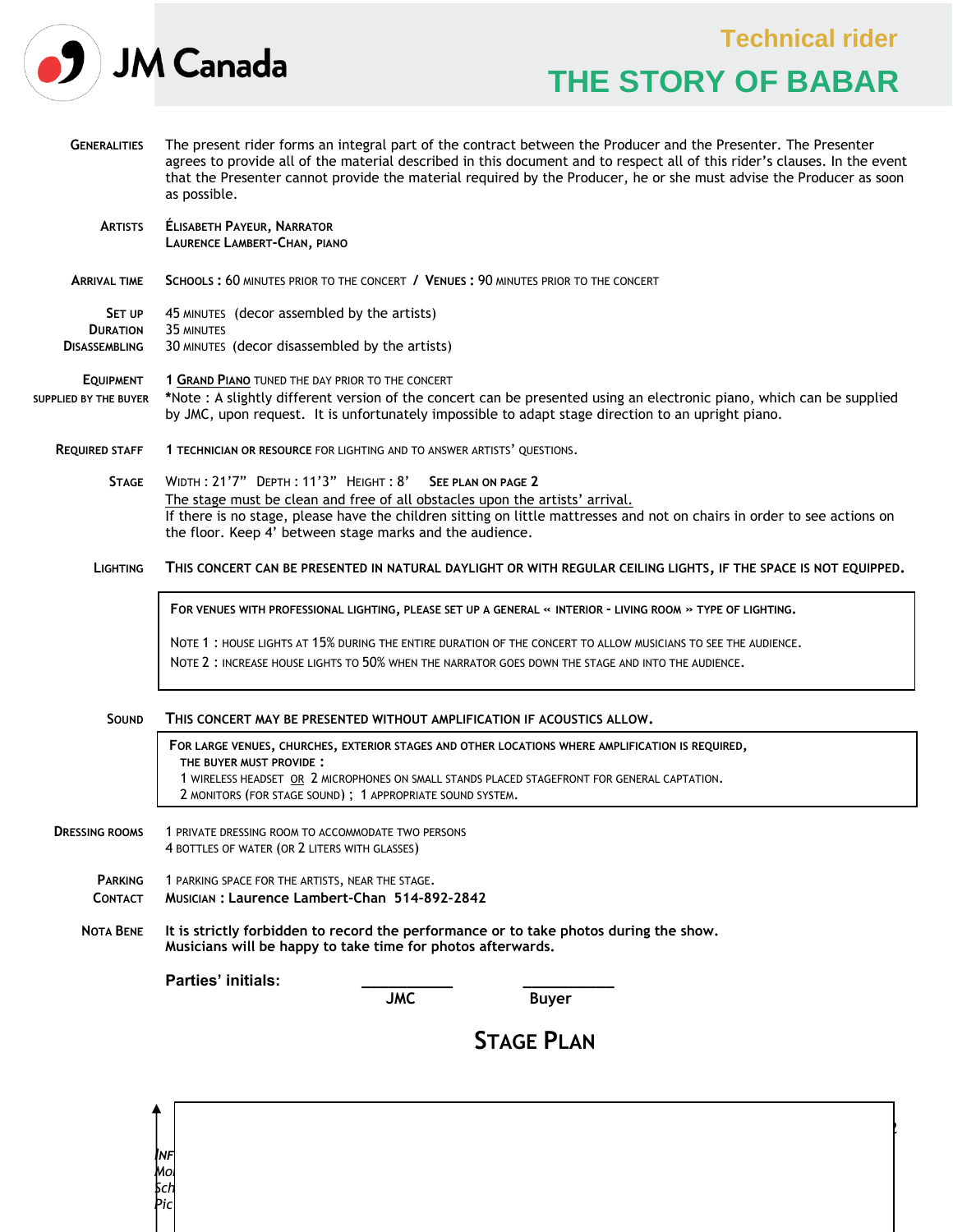|                                                          |                                                                                                                                                                                                                                                                                                                                                                                    | <b>Technical rider</b> |                           |  |  |
|----------------------------------------------------------|------------------------------------------------------------------------------------------------------------------------------------------------------------------------------------------------------------------------------------------------------------------------------------------------------------------------------------------------------------------------------------|------------------------|---------------------------|--|--|
|                                                          | <b>JM Canada</b>                                                                                                                                                                                                                                                                                                                                                                   |                        | <b>THE STORY OF BABAR</b> |  |  |
| <b>GENERALITIES</b>                                      | The present rider forms an integral part of the contract between the Producer and the Presenter. The Presenter<br>agrees to provide all of the material described in this document and to respect all of this rider's clauses. In the event<br>that the Presenter cannot provide the material required by the Producer, he or she must advise the Producer as soon<br>as possible. |                        |                           |  |  |
| <b>ARTISTS</b>                                           | <b>ÉLISABETH PAYEUR, NARRATOR</b><br>LAURENCE LAMBERT-CHAN, PIANO                                                                                                                                                                                                                                                                                                                  |                        |                           |  |  |
| <b>ARRIVAL TIME</b>                                      | SCHOOLS: 60 MINUTES PRIOR TO THE CONCERT / VENUES: 90 MINUTES PRIOR TO THE CONCERT                                                                                                                                                                                                                                                                                                 |                        |                           |  |  |
| <b>SET UP</b><br><b>DURATION</b><br><b>DISASSEMBLING</b> | 45 MINUTES (decor assembled by the artists)<br>35 MINUTES<br>30 MINUTES (decor disassembled by the artists)                                                                                                                                                                                                                                                                        |                        |                           |  |  |
| <b>EQUIPMENT</b><br><b>SUPPLIED BY THE BUYER</b>         | 1 GRAND PIANO TUNED THE DAY PRIOR TO THE CONCERT<br>*Note : A slightly different version of the concert can be presented using an electronic piano, which can be supplied<br>by JMC, upon request. It is unfortunately impossible to adapt stage direction to an upright piano.                                                                                                    |                        |                           |  |  |
| <b>REQUIRED STAFF</b>                                    | 1 TECHNICIAN OR RESOURCE FOR LIGHTING AND TO ANSWER ARTISTS' OUESTIONS.                                                                                                                                                                                                                                                                                                            |                        |                           |  |  |
| <b>STAGE</b>                                             | WIDTH: 21'7" DEPTH: 11'3" HEIGHT: 8' SEE PLAN ON PAGE 2<br>The stage must be clean and free of all obstacles upon the artists' arrival.<br>If there is no stage, please have the children sitting on little mattresses and not on chairs in order to see actions on<br>the floor. Keep 4' between stage marks and the audience.                                                    |                        |                           |  |  |
| <b>LIGHTING</b>                                          | THIS CONCERT CAN BE PRESENTED IN NATURAL DAYLIGHT OR WITH REGULAR CEILING LIGHTS, IF THE SPACE IS NOT EQUIPPED.                                                                                                                                                                                                                                                                    |                        |                           |  |  |
|                                                          | FOR VENUES WITH PROFESSIONAL LIGHTING, PLEASE SET UP A GENERAL « INTERIOR - LIVING ROOM » TYPE OF LIGHTING.                                                                                                                                                                                                                                                                        |                        |                           |  |  |
|                                                          | NOTE 1: HOUSE LIGHTS AT 15% DURING THE ENTIRE DURATION OF THE CONCERT TO ALLOW MUSICIANS TO SEE THE AUDIENCE.<br>NOTE 2: INCREASE HOUSE LIGHTS TO 50% WHEN THE NARRATOR GOES DOWN THE STAGE AND INTO THE AUDIENCE.                                                                                                                                                                 |                        |                           |  |  |
| <b>SOUND</b>                                             | THIS CONCERT MAY BE PRESENTED WITHOUT AMPLIFICATION IF ACOUSTICS ALLOW.                                                                                                                                                                                                                                                                                                            |                        |                           |  |  |
|                                                          | FOR LARGE VENUES, CHURCHES, EXTERIOR STAGES AND OTHER LOCATIONS WHERE AMPLIFICATION IS REQUIRED,<br>THE BUYER MUST PROVIDE:<br>1 WIRELESS HEADSET OR 2 MICROPHONES ON SMALL STANDS PLACED STAGEFRONT FOR GENERAL CAPTATION.<br>2 MONITORS (FOR STAGE SOUND); 1 APPROPRIATE SOUND SYSTEM.                                                                                           |                        |                           |  |  |
| <b>DRESSING ROOMS</b>                                    | 1 PRIVATE DRESSING ROOM TO ACCOMMODATE TWO PERSONS<br>4 BOTTLES OF WATER (OR 2 LITERS WITH GLASSES)                                                                                                                                                                                                                                                                                |                        |                           |  |  |
| <b>PARKING</b><br><b>CONTACT</b>                         | 1 PARKING SPACE FOR THE ARTISTS, NEAR THE STAGE.<br>MUSICIAN: Laurence Lambert-Chan 514-892-2842                                                                                                                                                                                                                                                                                   |                        |                           |  |  |
| <b>NOTA BENE</b>                                         | It is strictly forbidden to record the performance or to take photos during the show.<br>Musicians will be happy to take time for photos afterwards.                                                                                                                                                                                                                               |                        |                           |  |  |
|                                                          | Parties' initials:                                                                                                                                                                                                                                                                                                                                                                 | <b>JMC</b>             | <b>Buyer</b>              |  |  |

*Montreal performance halls: Judith Pelletier, 514-845-4108, ext. 230; [jpelletier@jmcanada.ca](mailto:jpelletier@jmcanada.ca) Schools and performance halls: André Mercier, 514-845-4108, ext. 221; [amercier@jmcanada.ca](mailto:amercier@jmcanada.ca) Pictures, promotional video, illustration and teaching guide available at [www.jmcanada.ca](http://www.jmcanada.ca/)*

*I<br>Mo<br>Sch<br>Pic* 

I

Page 1 de 2

**STAGE PLAN**